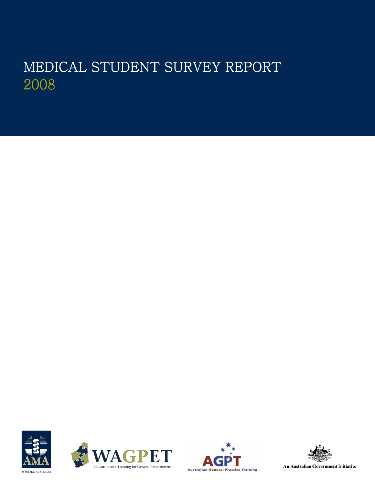# MEDICAL STUDENT SURVEY REPORT 2008







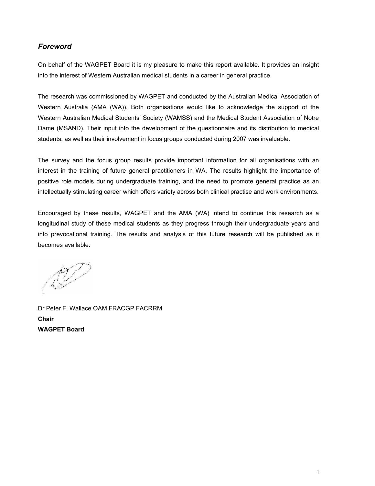# Foreword

On behalf of the WAGPET Board it is my pleasure to make this report available. It provides an insight into the interest of Western Australian medical students in a career in general practice.

The research was commissioned by WAGPET and conducted by the Australian Medical Association of Western Australia (AMA (WA)). Both organisations would like to acknowledge the support of the Western Australian Medical Students' Society (WAMSS) and the Medical Student Association of Notre Dame (MSAND). Their input into the development of the questionnaire and its distribution to medical students, as well as their involvement in focus groups conducted during 2007 was invaluable.

The survey and the focus group results provide important information for all organisations with an interest in the training of future general practitioners in WA. The results highlight the importance of positive role models during undergraduate training, and the need to promote general practice as an intellectually stimulating career which offers variety across both clinical practise and work environments.

Encouraged by these results, WAGPET and the AMA (WA) intend to continue this research as a longitudinal study of these medical students as they progress through their undergraduate years and into prevocational training. The results and analysis of this future research will be published as it becomes available.

 $\mathbb{Z}$ 

Dr Peter F. Wallace OAM FRACGP FACRRM Chair WAGPET Board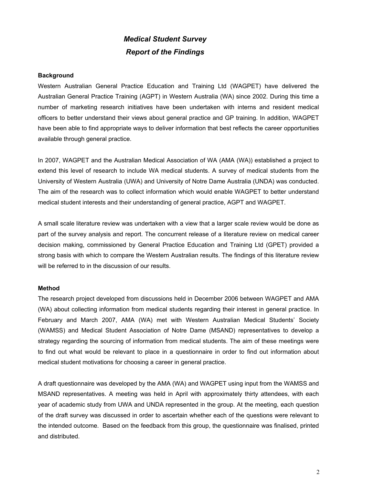# Medical Student Survey Report of the Findings

# **Background**

Western Australian General Practice Education and Training Ltd (WAGPET) have delivered the Australian General Practice Training (AGPT) in Western Australia (WA) since 2002. During this time a number of marketing research initiatives have been undertaken with interns and resident medical officers to better understand their views about general practice and GP training. In addition, WAGPET have been able to find appropriate ways to deliver information that best reflects the career opportunities available through general practice.

In 2007, WAGPET and the Australian Medical Association of WA (AMA (WA)) established a project to extend this level of research to include WA medical students. A survey of medical students from the University of Western Australia (UWA) and University of Notre Dame Australia (UNDA) was conducted. The aim of the research was to collect information which would enable WAGPET to better understand medical student interests and their understanding of general practice, AGPT and WAGPET.

A small scale literature review was undertaken with a view that a larger scale review would be done as part of the survey analysis and report. The concurrent release of a literature review on medical career decision making, commissioned by General Practice Education and Training Ltd (GPET) provided a strong basis with which to compare the Western Australian results. The findings of this literature review will be referred to in the discussion of our results.

# Method

The research project developed from discussions held in December 2006 between WAGPET and AMA (WA) about collecting information from medical students regarding their interest in general practice. In February and March 2007, AMA (WA) met with Western Australian Medical Students' Society (WAMSS) and Medical Student Association of Notre Dame (MSAND) representatives to develop a strategy regarding the sourcing of information from medical students. The aim of these meetings were to find out what would be relevant to place in a questionnaire in order to find out information about medical student motivations for choosing a career in general practice.

A draft questionnaire was developed by the AMA (WA) and WAGPET using input from the WAMSS and MSAND representatives. A meeting was held in April with approximately thirty attendees, with each year of academic study from UWA and UNDA represented in the group. At the meeting, each question of the draft survey was discussed in order to ascertain whether each of the questions were relevant to the intended outcome. Based on the feedback from this group, the questionnaire was finalised, printed and distributed.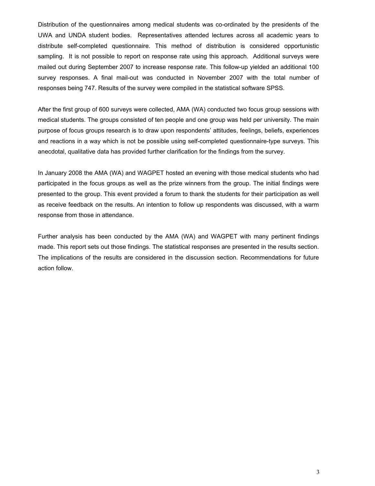Distribution of the questionnaires among medical students was co-ordinated by the presidents of the UWA and UNDA student bodies. Representatives attended lectures across all academic years to distribute self-completed questionnaire. This method of distribution is considered opportunistic sampling. It is not possible to report on response rate using this approach. Additional surveys were mailed out during September 2007 to increase response rate. This follow-up yielded an additional 100 survey responses. A final mail-out was conducted in November 2007 with the total number of responses being 747. Results of the survey were compiled in the statistical software SPSS.

After the first group of 600 surveys were collected, AMA (WA) conducted two focus group sessions with medical students. The groups consisted of ten people and one group was held per university. The main purpose of focus groups research is to draw upon respondents' attitudes, feelings, beliefs, experiences and reactions in a way which is not be possible using self-completed questionnaire-type surveys. This anecdotal, qualitative data has provided further clarification for the findings from the survey.

In January 2008 the AMA (WA) and WAGPET hosted an evening with those medical students who had participated in the focus groups as well as the prize winners from the group. The initial findings were presented to the group. This event provided a forum to thank the students for their participation as well as receive feedback on the results. An intention to follow up respondents was discussed, with a warm response from those in attendance.

Further analysis has been conducted by the AMA (WA) and WAGPET with many pertinent findings made. This report sets out those findings. The statistical responses are presented in the results section. The implications of the results are considered in the discussion section. Recommendations for future action follow.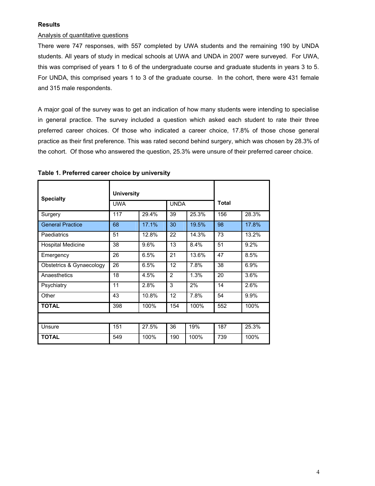# **Results**

# Analysis of quantitative questions

There were 747 responses, with 557 completed by UWA students and the remaining 190 by UNDA students. All years of study in medical schools at UWA and UNDA in 2007 were surveyed. For UWA, this was comprised of years 1 to 6 of the undergraduate course and graduate students in years 3 to 5. For UNDA, this comprised years 1 to 3 of the graduate course. In the cohort, there were 431 female and 315 male respondents.

A major goal of the survey was to get an indication of how many students were intending to specialise in general practice. The survey included a question which asked each student to rate their three preferred career choices. Of those who indicated a career choice, 17.8% of those chose general practice as their first preference. This was rated second behind surgery, which was chosen by 28.3% of the cohort. Of those who answered the question, 25.3% were unsure of their preferred career choice.

| <b>Specialty</b>         | <b>University</b> |       |             |       |              |       |
|--------------------------|-------------------|-------|-------------|-------|--------------|-------|
|                          | <b>UWA</b>        |       | <b>UNDA</b> |       | <b>Total</b> |       |
| Surgery                  | 117               | 29.4% | 39          | 25.3% | 156          | 28.3% |
| <b>General Practice</b>  | 68                | 17.1% | 30          | 19.5% | 98           | 17.8% |
| Paediatrics              | 51                | 12.8% | 22          | 14.3% | 73           | 13.2% |
| <b>Hospital Medicine</b> | 38                | 9.6%  | 13          | 8.4%  | 51           | 9.2%  |
| Emergency                | 26                | 6.5%  | 21          | 13.6% | 47           | 8.5%  |
| Obstetrics & Gynaecology | 26                | 6.5%  | 12          | 7.8%  | 38           | 6.9%  |
| Anaesthetics             | 18                | 4.5%  | 2           | 1.3%  | 20           | 3.6%  |
| Psychiatry               | 11                | 2.8%  | 3           | 2%    | 14           | 2.6%  |
| Other                    | 43                | 10.8% | 12          | 7.8%  | 54           | 9.9%  |
| <b>TOTAL</b>             | 398               | 100%  | 154         | 100%  | 552          | 100%  |
|                          |                   |       |             |       |              |       |
| Unsure                   | 151               | 27.5% | 36          | 19%   | 187          | 25.3% |
| <b>TOTAL</b>             | 549               | 100%  | 190         | 100%  | 739          | 100%  |

#### Table 1. Preferred career choice by university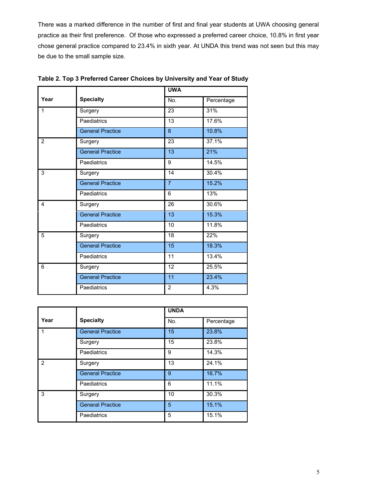There was a marked difference in the number of first and final year students at UWA choosing general practice as their first preference. Of those who expressed a preferred career choice, 10.8% in first year chose general practice compared to 23.4% in sixth year. At UNDA this trend was not seen but this may be due to the small sample size.

|                |                         | <b>UWA</b>     |            |
|----------------|-------------------------|----------------|------------|
| Year           | <b>Specialty</b>        | No.            | Percentage |
| 1              | Surgery                 | 23             | 31%        |
|                | Paediatrics             | 13             | 17.6%      |
|                | <b>General Practice</b> | 8              | 10.8%      |
| $\overline{2}$ | Surgery                 | 23             | 37.1%      |
|                | <b>General Practice</b> | 13             | 21%        |
|                | Paediatrics             | 9              | 14.5%      |
| 3              | Surgery                 | 14             | 30.4%      |
|                | <b>General Practice</b> | $\overline{7}$ | 15.2%      |
|                | Paediatrics             | 6              | 13%        |
| 4              | Surgery                 | 26             | 30.6%      |
|                | <b>General Practice</b> | 13             | 15.3%      |
|                | Paediatrics             | 10             | 11.8%      |
| 5              | Surgery                 | 18             | 22%        |
|                | <b>General Practice</b> | 15             | 18.3%      |
|                | Paediatrics             | 11             | 13.4%      |
| 6              | Surgery                 | 12             | 25.5%      |
|                | <b>General Practice</b> | 11             | 23.4%      |
|                | Paediatrics             | $\overline{2}$ | 4.3%       |
|                |                         |                |            |

Table 2. Top 3 Preferred Career Choices by University and Year of Study

|                |                         | <b>UNDA</b> |            |
|----------------|-------------------------|-------------|------------|
| Year           | <b>Specialty</b>        | No.         | Percentage |
|                | <b>General Practice</b> | 15          | 23.8%      |
|                | Surgery                 | 15          | 23.8%      |
|                | Paediatrics             | 9           | 14.3%      |
| $\overline{2}$ | Surgery                 | 13          | 24.1%      |
|                | <b>General Practice</b> | 9           | 16.7%      |
|                | Paediatrics             | 6           | 11.1%      |
| 3              | Surgery                 | 10          | 30.3%      |
|                | <b>General Practice</b> | 5           | 15.1%      |
|                | Paediatrics             | 5           | 15.1%      |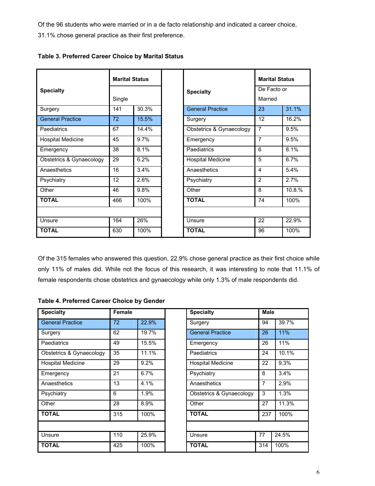Of the 96 students who were married or in a de facto relationship and indicated a career choice,

31.1% chose general practice as their first preference.

|                          | <b>Marital Status</b> |       |                          | <b>Marital Status</b> |                        |  |
|--------------------------|-----------------------|-------|--------------------------|-----------------------|------------------------|--|
| <b>Specialty</b>         | Single                |       | <b>Specialty</b>         |                       | De Facto or<br>Married |  |
| Surgery                  | 141                   | 30.3% | <b>General Practice</b>  | 23                    | 31.1%                  |  |
| <b>General Practice</b>  | 72                    | 15.5% | Surgery                  | 12                    | 16.2%                  |  |
| Paediatrics              | 67                    | 14.4% | Obstetrics & Gynaecology | $\overline{7}$        | 9.5%                   |  |
| <b>Hospital Medicine</b> | 45                    | 9.7%  | Emergency                | 7                     | 9.5%                   |  |
| Emergency                | 38                    | 8.1%  | Paediatrics              | 6                     | 8.1%                   |  |
| Obstetrics & Gynaecology | 29                    | 6.2%  | <b>Hospital Medicine</b> | 5                     | 6.7%                   |  |
| Anaesthetics             | 16                    | 3.4%  | Anaesthetics             | 4                     | 5.4%                   |  |
| Psychiatry               | 12                    | 2.6%  | Psychiatry               | $\overline{2}$        | 2.7%                   |  |
| Other                    | 46                    | 9.8%  | Other                    | 8                     | 10.8.%                 |  |
| <b>TOTAL</b>             | 466                   | 100%  | <b>TOTAL</b>             | 74                    | 100%                   |  |
|                          |                       |       |                          |                       |                        |  |
| Unsure                   | 164                   | 26%   | Unsure                   | 22                    | 22.9%                  |  |
| <b>TOTAL</b>             | 630                   | 100%  | <b>TOTAL</b>             | 96                    | 100%                   |  |

|  |  |  | Table 3. Preferred Career Choice by Marital Status |
|--|--|--|----------------------------------------------------|
|--|--|--|----------------------------------------------------|

Of the 315 females who answered this question, 22.9% chose general practice as their first choice while only 11% of males did. While not the focus of this research, it was interesting to note that 11.1% of female respondents chose obstetrics and gynaecology while only 1.3% of male respondents did.

|  | Table 4. Preferred Career Choice by Gender |
|--|--------------------------------------------|
|--|--------------------------------------------|

| <b>Specialty</b>         | Female |       | <b>Specialty</b>         | <b>Male</b> |
|--------------------------|--------|-------|--------------------------|-------------|
| <b>General Practice</b>  | 72     | 22.9% | Surgery                  | 94          |
| Surgery                  | 62     | 19.7% | <b>General Practice</b>  | 26          |
| Paediatrics              | 49     | 15.5% | Emergency                | 26          |
| Obstetrics & Gynaecology | 35     | 11.1% | Paediatrics              | 24          |
| <b>Hospital Medicine</b> | 29     | 9.2%  | <b>Hospital Medicine</b> | 22          |
| Emergency                | 21     | 6.7%  | Psychiatry               | 8           |
| Anaesthetics             | 13     | 4.1%  | Anaesthetics             | 7           |
| Psychiatry               | 6      | 1.9%  | Obstetrics & Gynaecology | 3           |
| Other                    | 28     | 8.9%  | Other                    | 27          |
| <b>TOTAL</b>             | 315    | 100%  | <b>TOTAL</b>             | 237         |
|                          |        |       |                          |             |
| Unsure                   | 110    | 25.9% | Unsure                   | 77          |
| <b>TOTAL</b>             | 425    | 100%  | <b>TOTAL</b>             | 314         |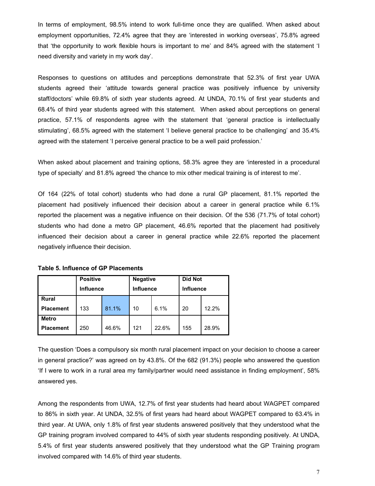In terms of employment, 98.5% intend to work full-time once they are qualified. When asked about employment opportunities, 72.4% agree that they are 'interested in working overseas', 75.8% agreed that 'the opportunity to work flexible hours is important to me' and 84% agreed with the statement 'I need diversity and variety in my work day'.

Responses to questions on attitudes and perceptions demonstrate that 52.3% of first year UWA students agreed their 'attitude towards general practice was positively influence by university staff/doctors' while 69.8% of sixth year students agreed. At UNDA, 70.1% of first year students and 68.4% of third year students agreed with this statement. When asked about perceptions on general practice, 57.1% of respondents agree with the statement that 'general practice is intellectually stimulating', 68.5% agreed with the statement 'I believe general practice to be challenging' and 35.4% agreed with the statement 'I perceive general practice to be a well paid profession.'

When asked about placement and training options, 58.3% agree they are 'interested in a procedural type of specialty' and 81.8% agreed 'the chance to mix other medical training is of interest to me'.

Of 164 (22% of total cohort) students who had done a rural GP placement, 81.1% reported the placement had positively influenced their decision about a career in general practice while 6.1% reported the placement was a negative influence on their decision. Of the 536 (71.7% of total cohort) students who had done a metro GP placement, 46.6% reported that the placement had positively influenced their decision about a career in general practice while 22.6% reported the placement negatively influence their decision.

|                  | <b>Positive</b><br><b>Influence</b> |       | <b>Negative</b><br><b>Influence</b> |       | <b>Did Not</b><br><b>Influence</b> |       |
|------------------|-------------------------------------|-------|-------------------------------------|-------|------------------------------------|-------|
| <b>Rural</b>     |                                     |       |                                     |       |                                    |       |
| <b>Placement</b> | 133                                 | 81.1% | 10                                  | 6.1%  | 20                                 | 12.2% |
| <b>Metro</b>     |                                     |       |                                     |       |                                    |       |
| <b>Placement</b> | 250                                 | 46.6% | 121                                 | 22.6% | 155                                | 28.9% |

Table 5. Influence of GP Placements

The question 'Does a compulsory six month rural placement impact on your decision to choose a career in general practice?' was agreed on by 43.8%. Of the 682 (91.3%) people who answered the question 'If I were to work in a rural area my family/partner would need assistance in finding employment', 58% answered yes.

Among the respondents from UWA, 12.7% of first year students had heard about WAGPET compared to 86% in sixth year. At UNDA, 32.5% of first years had heard about WAGPET compared to 63.4% in third year. At UWA, only 1.8% of first year students answered positively that they understood what the GP training program involved compared to 44% of sixth year students responding positively. At UNDA, 5.4% of first year students answered positively that they understood what the GP Training program involved compared with 14.6% of third year students.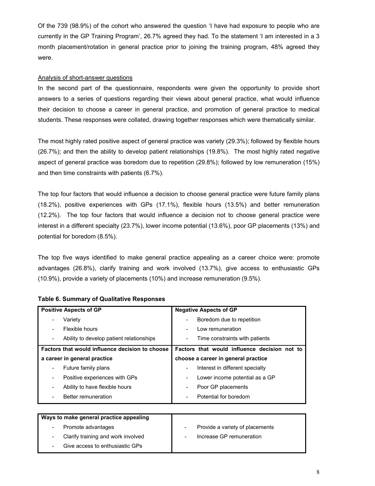Of the 739 (98.9%) of the cohort who answered the question 'I have had exposure to people who are currently in the GP Training Program', 26.7% agreed they had. To the statement 'I am interested in a 3 month placement/rotation in general practice prior to joining the training program, 48% agreed they were.

# Analysis of short-answer questions

In the second part of the questionnaire, respondents were given the opportunity to provide short answers to a series of questions regarding their views about general practice, what would influence their decision to choose a career in general practice, and promotion of general practice to medical students. These responses were collated, drawing together responses which were thematically similar.

The most highly rated positive aspect of general practice was variety (29.3%); followed by flexible hours (26.7%); and then the ability to develop patient relationships (19.8%). The most highly rated negative aspect of general practice was boredom due to repetition (29.8%); followed by low remuneration (15%) and then time constraints with patients (6.7%).

The top four factors that would influence a decision to choose general practice were future family plans (18.2%), positive experiences with GPs (17.1%), flexible hours (13.5%) and better remuneration (12.2%). The top four factors that would influence a decision not to choose general practice were interest in a different specialty (23.7%), lower income potential (13.6%), poor GP placements (13%) and potential for boredom (8.5%).

The top five ways identified to make general practice appealing as a career choice were: promote advantages (26.8%), clarify training and work involved (13.7%), give access to enthusiastic GPs (10.9%), provide a variety of placements (10%) and increase remuneration (9.5%).

| <b>Positive Aspects of GP</b>                   | <b>Negative Aspects of GP</b>                                  |
|-------------------------------------------------|----------------------------------------------------------------|
| Variety                                         | Boredom due to repetition<br>$\overline{\phantom{0}}$          |
| Flexible hours                                  | Low remuneration<br>۰                                          |
| Ability to develop patient relationships        | Time constraints with patients<br>$\qquad \qquad \blacksquare$ |
| Factors that would influence decision to choose | Factors that would influence decision not to                   |
| a career in general practice                    | choose a career in general practice                            |
| Future family plans                             | Interest in different specialty<br>$\overline{a}$              |
| Positive experiences with GPs                   | Lower income potential as a GP<br>-                            |
| Ability to have flexible hours                  | Poor GP placements<br>$\overline{a}$                           |
| Better remuneration                             | Potential for boredom                                          |

# Table 6. Summary of Qualitative Responses

| Ways to make general practice appealing |                                 |
|-----------------------------------------|---------------------------------|
| Promote advantages                      | Provide a variety of placements |
| - 1                                     | $\sim$                          |
| Clarify training and work involved      | Increase GP remuneration        |
| $\sim$                                  | $\overline{\phantom{0}}$        |
| Give access to enthusiastic GPs         |                                 |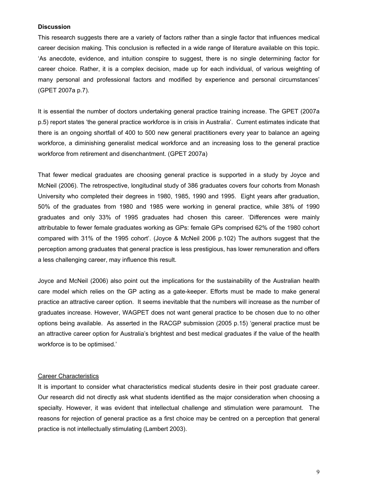### Discussion

This research suggests there are a variety of factors rather than a single factor that influences medical career decision making. This conclusion is reflected in a wide range of literature available on this topic. 'As anecdote, evidence, and intuition conspire to suggest, there is no single determining factor for career choice. Rather, it is a complex decision, made up for each individual, of various weighting of many personal and professional factors and modified by experience and personal circumstances' (GPET 2007a p.7).

It is essential the number of doctors undertaking general practice training increase. The GPET (2007a p.5) report states 'the general practice workforce is in crisis in Australia'. Current estimates indicate that there is an ongoing shortfall of 400 to 500 new general practitioners every year to balance an ageing workforce, a diminishing generalist medical workforce and an increasing loss to the general practice workforce from retirement and disenchantment. (GPET 2007a)

That fewer medical graduates are choosing general practice is supported in a study by Joyce and McNeil (2006). The retrospective, longitudinal study of 386 graduates covers four cohorts from Monash University who completed their degrees in 1980, 1985, 1990 and 1995. Eight years after graduation, 50% of the graduates from 1980 and 1985 were working in general practice, while 38% of 1990 graduates and only 33% of 1995 graduates had chosen this career. 'Differences were mainly attributable to fewer female graduates working as GPs: female GPs comprised 62% of the 1980 cohort compared with 31% of the 1995 cohort'. (Joyce & McNeil 2006 p.102) The authors suggest that the perception among graduates that general practice is less prestigious, has lower remuneration and offers a less challenging career, may influence this result.

Joyce and McNeil (2006) also point out the implications for the sustainability of the Australian health care model which relies on the GP acting as a gate-keeper. Efforts must be made to make general practice an attractive career option. It seems inevitable that the numbers will increase as the number of graduates increase. However, WAGPET does not want general practice to be chosen due to no other options being available. As asserted in the RACGP submission (2005 p.15) 'general practice must be an attractive career option for Australia's brightest and best medical graduates if the value of the health workforce is to be optimised.'

#### Career Characteristics

It is important to consider what characteristics medical students desire in their post graduate career. Our research did not directly ask what students identified as the major consideration when choosing a specialty. However, it was evident that intellectual challenge and stimulation were paramount. The reasons for rejection of general practice as a first choice may be centred on a perception that general practice is not intellectually stimulating (Lambert 2003).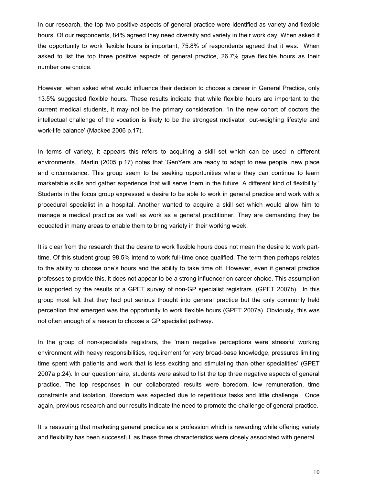In our research, the top two positive aspects of general practice were identified as variety and flexible hours. Of our respondents, 84% agreed they need diversity and variety in their work day. When asked if the opportunity to work flexible hours is important, 75.8% of respondents agreed that it was. When asked to list the top three positive aspects of general practice, 26.7% gave flexible hours as their number one choice.

However, when asked what would influence their decision to choose a career in General Practice, only 13.5% suggested flexible hours. These results indicate that while flexible hours are important to the current medical students, it may not be the primary consideration. 'In the new cohort of doctors the intellectual challenge of the vocation is likely to be the strongest motivator, out-weighing lifestyle and work-life balance' (Mackee 2006 p.17).

In terms of variety, it appears this refers to acquiring a skill set which can be used in different environments. Martin (2005 p.17) notes that 'GenYers are ready to adapt to new people, new place and circumstance. This group seem to be seeking opportunities where they can continue to learn marketable skills and gather experience that will serve them in the future. A different kind of flexibility.' Students in the focus group expressed a desire to be able to work in general practice and work with a procedural specialist in a hospital. Another wanted to acquire a skill set which would allow him to manage a medical practice as well as work as a general practitioner. They are demanding they be educated in many areas to enable them to bring variety in their working week.

It is clear from the research that the desire to work flexible hours does not mean the desire to work parttime. Of this student group 98.5% intend to work full-time once qualified. The term then perhaps relates to the ability to choose one's hours and the ability to take time off. However, even if general practice professes to provide this, it does not appear to be a strong influencer on career choice. This assumption is supported by the results of a GPET survey of non-GP specialist registrars. (GPET 2007b). In this group most felt that they had put serious thought into general practice but the only commonly held perception that emerged was the opportunity to work flexible hours (GPET 2007a). Obviously, this was not often enough of a reason to choose a GP specialist pathway.

In the group of non-specialists registrars, the 'main negative perceptions were stressful working environment with heavy responsibilities, requirement for very broad-base knowledge, pressures limiting time spent with patients and work that is less exciting and stimulating than other specialities' (GPET 2007a p.24). In our questionnaire, students were asked to list the top three negative aspects of general practice. The top responses in our collaborated results were boredom, low remuneration, time constraints and isolation. Boredom was expected due to repetitious tasks and little challenge. Once again, previous research and our results indicate the need to promote the challenge of general practice.

It is reassuring that marketing general practice as a profession which is rewarding while offering variety and flexibility has been successful, as these three characteristics were closely associated with general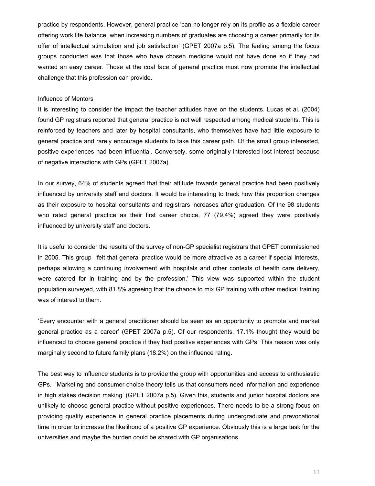practice by respondents. However, general practice 'can no longer rely on its profile as a flexible career offering work life balance, when increasing numbers of graduates are choosing a career primarily for its offer of intellectual stimulation and job satisfaction' (GPET 2007a p.5). The feeling among the focus groups conducted was that those who have chosen medicine would not have done so if they had wanted an easy career. Those at the coal face of general practice must now promote the intellectual challenge that this profession can provide.

#### Influence of Mentors

It is interesting to consider the impact the teacher attitudes have on the students. Lucas et al. (2004) found GP registrars reported that general practice is not well respected among medical students. This is reinforced by teachers and later by hospital consultants, who themselves have had little exposure to general practice and rarely encourage students to take this career path. Of the small group interested, positive experiences had been influential. Conversely, some originally interested lost interest because of negative interactions with GPs (GPET 2007a).

In our survey, 64% of students agreed that their attitude towards general practice had been positively influenced by university staff and doctors. It would be interesting to track how this proportion changes as their exposure to hospital consultants and registrars increases after graduation. Of the 98 students who rated general practice as their first career choice, 77 (79.4%) agreed they were positively influenced by university staff and doctors.

It is useful to consider the results of the survey of non-GP specialist registrars that GPET commissioned in 2005. This group 'felt that general practice would be more attractive as a career if special interests, perhaps allowing a continuing involvement with hospitals and other contexts of health care delivery, were catered for in training and by the profession.' This view was supported within the student population surveyed, with 81.8% agreeing that the chance to mix GP training with other medical training was of interest to them.

'Every encounter with a general practitioner should be seen as an opportunity to promote and market general practice as a career' (GPET 2007a p.5). Of our respondents, 17.1% thought they would be influenced to choose general practice if they had positive experiences with GPs. This reason was only marginally second to future family plans (18.2%) on the influence rating.

The best way to influence students is to provide the group with opportunities and access to enthusiastic GPs. 'Marketing and consumer choice theory tells us that consumers need information and experience in high stakes decision making' (GPET 2007a p.5). Given this, students and junior hospital doctors are unlikely to choose general practice without positive experiences. There needs to be a strong focus on providing quality experience in general practice placements during undergraduate and prevocational time in order to increase the likelihood of a positive GP experience. Obviously this is a large task for the universities and maybe the burden could be shared with GP organisations.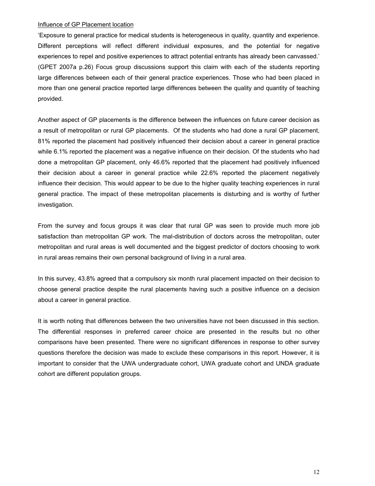#### Influence of GP Placement location

'Exposure to general practice for medical students is heterogeneous in quality, quantity and experience. Different perceptions will reflect different individual exposures, and the potential for negative experiences to repel and positive experiences to attract potential entrants has already been canvassed.' (GPET 2007a p.26) Focus group discussions support this claim with each of the students reporting large differences between each of their general practice experiences. Those who had been placed in more than one general practice reported large differences between the quality and quantity of teaching provided.

Another aspect of GP placements is the difference between the influences on future career decision as a result of metropolitan or rural GP placements. Of the students who had done a rural GP placement, 81% reported the placement had positively influenced their decision about a career in general practice while 6.1% reported the placement was a negative influence on their decision. Of the students who had done a metropolitan GP placement, only 46.6% reported that the placement had positively influenced their decision about a career in general practice while 22.6% reported the placement negatively influence their decision. This would appear to be due to the higher quality teaching experiences in rural general practice. The impact of these metropolitan placements is disturbing and is worthy of further investigation.

From the survey and focus groups it was clear that rural GP was seen to provide much more job satisfaction than metropolitan GP work. The mal-distribution of doctors across the metropolitan, outer metropolitan and rural areas is well documented and the biggest predictor of doctors choosing to work in rural areas remains their own personal background of living in a rural area.

In this survey, 43.8% agreed that a compulsory six month rural placement impacted on their decision to choose general practice despite the rural placements having such a positive influence on a decision about a career in general practice.

It is worth noting that differences between the two universities have not been discussed in this section. The differential responses in preferred career choice are presented in the results but no other comparisons have been presented. There were no significant differences in response to other survey questions therefore the decision was made to exclude these comparisons in this report. However, it is important to consider that the UWA undergraduate cohort, UWA graduate cohort and UNDA graduate cohort are different population groups.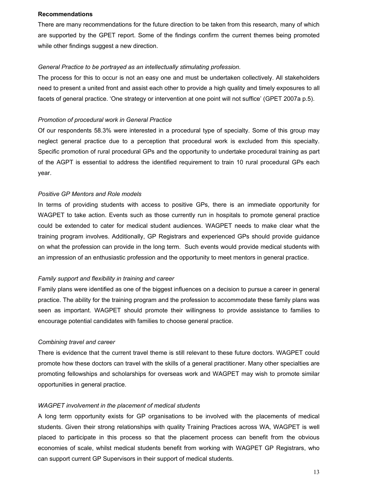#### Recommendations

There are many recommendations for the future direction to be taken from this research, many of which are supported by the GPET report. Some of the findings confirm the current themes being promoted while other findings suggest a new direction.

#### General Practice to be portrayed as an intellectually stimulating profession.

The process for this to occur is not an easy one and must be undertaken collectively. All stakeholders need to present a united front and assist each other to provide a high quality and timely exposures to all facets of general practice. 'One strategy or intervention at one point will not suffice' (GPET 2007a p.5).

#### Promotion of procedural work in General Practice

Of our respondents 58.3% were interested in a procedural type of specialty. Some of this group may neglect general practice due to a perception that procedural work is excluded from this specialty. Specific promotion of rural procedural GPs and the opportunity to undertake procedural training as part of the AGPT is essential to address the identified requirement to train 10 rural procedural GPs each year.

#### Positive GP Mentors and Role models

In terms of providing students with access to positive GPs, there is an immediate opportunity for WAGPET to take action. Events such as those currently run in hospitals to promote general practice could be extended to cater for medical student audiences. WAGPET needs to make clear what the training program involves. Additionally, GP Registrars and experienced GPs should provide guidance on what the profession can provide in the long term. Such events would provide medical students with an impression of an enthusiastic profession and the opportunity to meet mentors in general practice.

#### Family support and flexibility in training and career

Family plans were identified as one of the biggest influences on a decision to pursue a career in general practice. The ability for the training program and the profession to accommodate these family plans was seen as important. WAGPET should promote their willingness to provide assistance to families to encourage potential candidates with families to choose general practice.

#### Combining travel and career

There is evidence that the current travel theme is still relevant to these future doctors. WAGPET could promote how these doctors can travel with the skills of a general practitioner. Many other specialties are promoting fellowships and scholarships for overseas work and WAGPET may wish to promote similar opportunities in general practice.

#### WAGPET involvement in the placement of medical students

A long term opportunity exists for GP organisations to be involved with the placements of medical students. Given their strong relationships with quality Training Practices across WA, WAGPET is well placed to participate in this process so that the placement process can benefit from the obvious economies of scale, whilst medical students benefit from working with WAGPET GP Registrars, who can support current GP Supervisors in their support of medical students.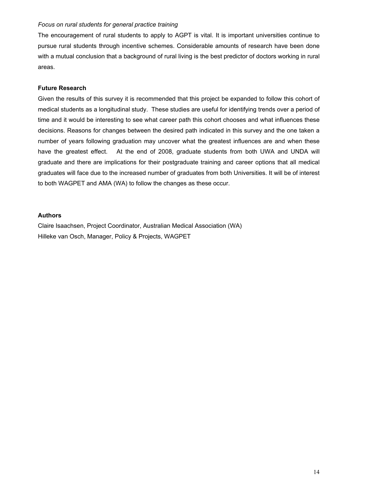# Focus on rural students for general practice training

The encouragement of rural students to apply to AGPT is vital. It is important universities continue to pursue rural students through incentive schemes. Considerable amounts of research have been done with a mutual conclusion that a background of rural living is the best predictor of doctors working in rural areas.

# Future Research

Given the results of this survey it is recommended that this project be expanded to follow this cohort of medical students as a longitudinal study. These studies are useful for identifying trends over a period of time and it would be interesting to see what career path this cohort chooses and what influences these decisions. Reasons for changes between the desired path indicated in this survey and the one taken a number of years following graduation may uncover what the greatest influences are and when these have the greatest effect. At the end of 2008, graduate students from both UWA and UNDA will graduate and there are implications for their postgraduate training and career options that all medical graduates will face due to the increased number of graduates from both Universities. It will be of interest to both WAGPET and AMA (WA) to follow the changes as these occur.

# Authors

Claire Isaachsen, Project Coordinator, Australian Medical Association (WA) Hilleke van Osch, Manager, Policy & Projects, WAGPET